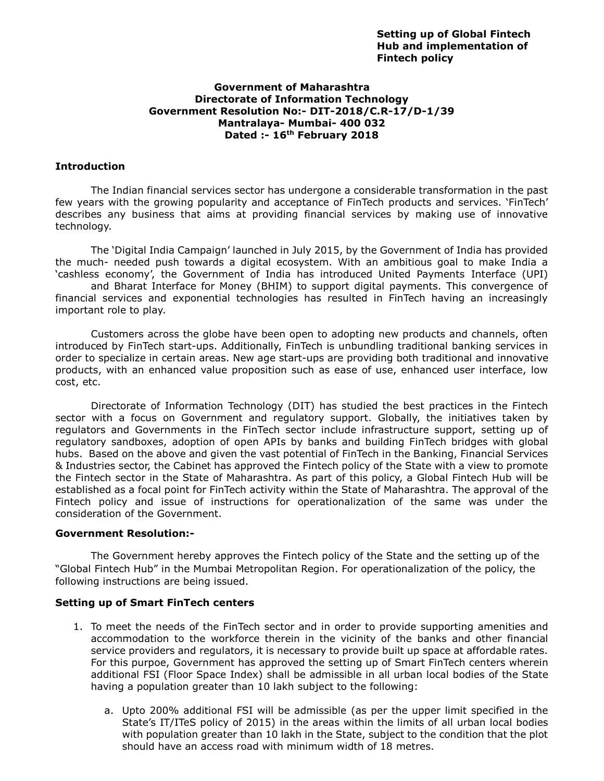#### **Government of Maharashtra Directorate of Information Technology Government Resolution No:- DIT-2018/C.R-17/D-1/39 Mantralaya- Mumbai- 400 032 Dated :- 16th February 2018**

#### **Introduction**

The Indian financial services sector has undergone a considerable transformation in the past few years with the growing popularity and acceptance of FinTech products and services. 'FinTech' describes any business that aims at providing financial services by making use of innovative technology.

The 'Digital India Campaign' launched in July 2015, by the Government of India has provided the much- needed push towards a digital ecosystem. With an ambitious goal to make India a 'cashless economy', the Government of India has introduced United Payments Interface (UPI) and Bharat Interface for Money (BHIM) to support digital payments. This convergence of financial services and exponential technologies has resulted in FinTech having an increasingly important role to play.

Customers across the globe have been open to adopting new products and channels, often introduced by FinTech start-ups. Additionally, FinTech is unbundling traditional banking services in order to specialize in certain areas. New age start-ups are providing both traditional and innovative products, with an enhanced value proposition such as ease of use, enhanced user interface, low cost, etc.

Directorate of Information Technology (DIT) has studied the best practices in the Fintech sector with a focus on Government and regulatory support. Globally, the initiatives taken by regulators and Governments in the FinTech sector include infrastructure support, setting up of regulatory sandboxes, adoption of open APIs by banks and building FinTech bridges with global hubs. Based on the above and given the vast potential of FinTech in the Banking, Financial Services & Industries sector, the Cabinet has approved the Fintech policy of the State with a view to promote the Fintech sector in the State of Maharashtra. As part of this policy, a Global Fintech Hub will be established as a focal point for FinTech activity within the State of Maharashtra. The approval of the Fintech policy and issue of instructions for operationalization of the same was under the consideration of the Government.

#### **Government Resolution:-**

The Government hereby approves the Fintech policy of the State and the setting up of the "Global Fintech Hub" in the Mumbai Metropolitan Region. For operationalization of the policy, the following instructions are being issued.

### **Setting up of Smart FinTech centers**

- 1. To meet the needs of the FinTech sector and in order to provide supporting amenities and accommodation to the workforce therein in the vicinity of the banks and other financial service providers and regulators, it is necessary to provide built up space at affordable rates. For this purpoe, Government has approved the setting up of Smart FinTech centers wherein additional FSI (Floor Space Index) shall be admissible in all urban local bodies of the State having a population greater than 10 lakh subject to the following:
	- a. Upto 200% additional FSI will be admissible (as per the upper limit specified in the State's IT/ITeS policy of 2015) in the areas within the limits of all urban local bodies with population greater than 10 lakh in the State, subject to the condition that the plot should have an access road with minimum width of 18 metres.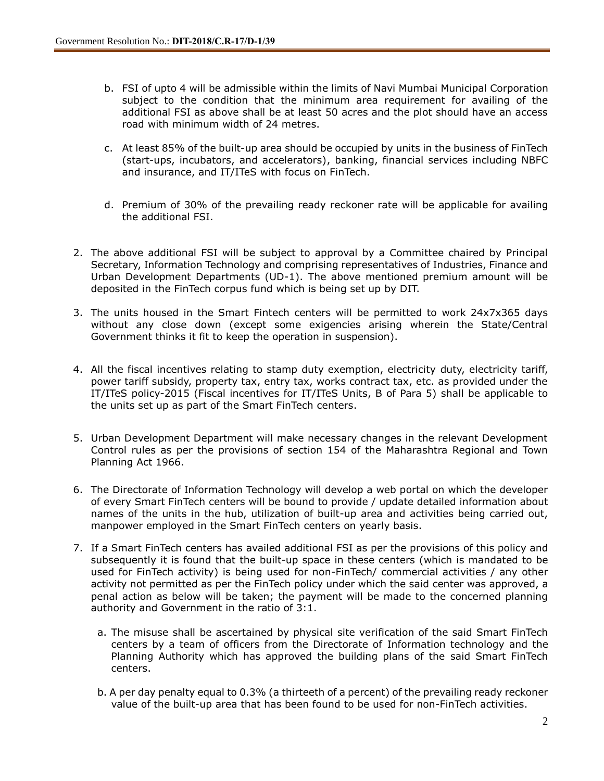- b. FSI of upto 4 will be admissible within the limits of Navi Mumbai Municipal Corporation subject to the condition that the minimum area requirement for availing of the additional FSI as above shall be at least 50 acres and the plot should have an access road with minimum width of 24 metres.
- c. At least 85% of the built-up area should be occupied by units in the business of FinTech (start-ups, incubators, and accelerators), banking, financial services including NBFC and insurance, and IT/ITeS with focus on FinTech.
- d. Premium of 30% of the prevailing ready reckoner rate will be applicable for availing the additional FSI.
- 2. The above additional FSI will be subject to approval by a Committee chaired by Principal Secretary, Information Technology and comprising representatives of Industries, Finance and Urban Development Departments (UD-1). The above mentioned premium amount will be deposited in the FinTech corpus fund which is being set up by DIT.
- 3. The units housed in the Smart Fintech centers will be permitted to work 24x7x365 days without any close down (except some exigencies arising wherein the State/Central Government thinks it fit to keep the operation in suspension).
- 4. All the fiscal incentives relating to stamp duty exemption, electricity duty, electricity tariff, power tariff subsidy, property tax, entry tax, works contract tax, etc. as provided under the IT/ITeS policy-2015 (Fiscal incentives for IT/ITeS Units, B of Para 5) shall be applicable to the units set up as part of the Smart FinTech centers.
- 5. Urban Development Department will make necessary changes in the relevant Development Control rules as per the provisions of section 154 of the Maharashtra Regional and Town Planning Act 1966.
- 6. The Directorate of Information Technology will develop a web portal on which the developer of every Smart FinTech centers will be bound to provide / update detailed information about names of the units in the hub, utilization of built-up area and activities being carried out, manpower employed in the Smart FinTech centers on yearly basis.
- 7. If a Smart FinTech centers has availed additional FSI as per the provisions of this policy and subsequently it is found that the built-up space in these centers (which is mandated to be used for FinTech activity) is being used for non-FinTech/ commercial activities / any other activity not permitted as per the FinTech policy under which the said center was approved, a penal action as below will be taken; the payment will be made to the concerned planning authority and Government in the ratio of 3:1.
	- a. The misuse shall be ascertained by physical site verification of the said Smart FinTech centers by a team of officers from the Directorate of Information technology and the Planning Authority which has approved the building plans of the said Smart FinTech centers.
	- b. A per day penalty equal to 0.3% (a thirteeth of a percent) of the prevailing ready reckoner value of the built-up area that has been found to be used for non-FinTech activities.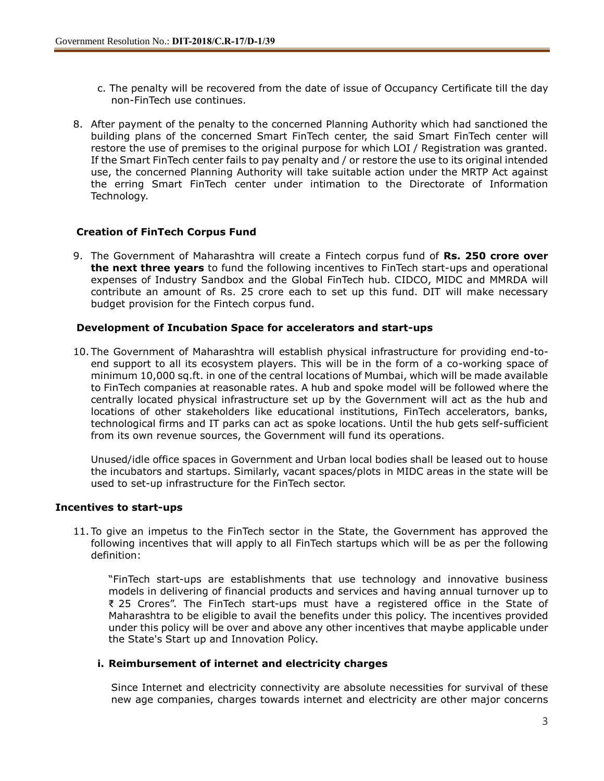- c. The penalty will be recovered from the date of issue of Occupancy Certificate till the day non-FinTech use continues.
- 8. After payment of the penalty to the concerned Planning Authority which had sanctioned the building plans of the concerned Smart FinTech center, the said Smart FinTech center will restore the use of premises to the original purpose for which LOI / Registration was granted. If the Smart FinTech center fails to pay penalty and / or restore the use to its original intended use, the concerned Planning Authority will take suitable action under the MRTP Act against the erring Smart FinTech center under intimation to the Directorate of Information Technology.

### **Creation of FinTech Corpus Fund**

9. The Government of Maharashtra will create a Fintech corpus fund of **Rs. 250 crore over the next three years** to fund the following incentives to FinTech start-ups and operational expenses of Industry Sandbox and the Global FinTech hub. CIDCO, MIDC and MMRDA will contribute an amount of Rs. 25 crore each to set up this fund. DIT will make necessary budget provision for the Fintech corpus fund.

#### **Development of Incubation Space for accelerators and start-ups**

10. The Government of Maharashtra will establish physical infrastructure for providing end-toend support to all its ecosystem players. This will be in the form of a co-working space of minimum 10,000 sq.ft. in one of the central locations of Mumbai, which will be made available to FinTech companies at reasonable rates. A hub and spoke model will be followed where the centrally located physical infrastructure set up by the Government will act as the hub and locations of other stakeholders like educational institutions, FinTech accelerators, banks, technological firms and IT parks can act as spoke locations. Until the hub gets self-sufficient from its own revenue sources, the Government will fund its operations.

Unused/idle office spaces in Government and Urban local bodies shall be leased out to house the incubators and startups. Similarly, vacant spaces/plots in MIDC areas in the state will be used to set-up infrastructure for the FinTech sector.

### **Incentives to start-ups**

11. To give an impetus to the FinTech sector in the State, the Government has approved the following incentives that will apply to all FinTech startups which will be as per the following definition:

"FinTech start-ups are establishments that use technology and innovative business models in delivering of financial products and services and having annual turnover up to ₹ 25 Crores". The FinTech start-ups must have a registered office in the State of Maharashtra to be eligible to avail the benefits under this policy. The incentives provided under this policy will be over and above any other incentives that maybe applicable under the State's Start up and Innovation Policy.

#### **i. Reimbursement of internet and electricity charges**

Since Internet and electricity connectivity are absolute necessities for survival of these new age companies, charges towards internet and electricity are other major concerns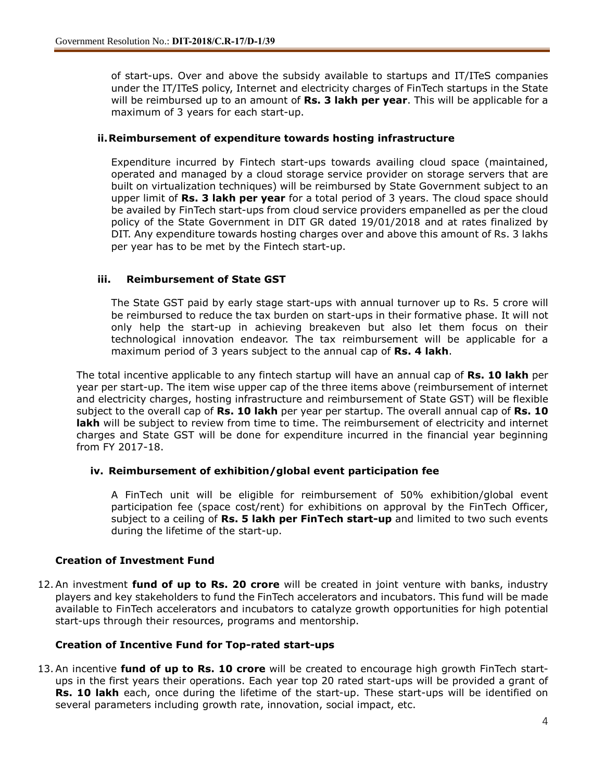of start-ups. Over and above the subsidy available to startups and IT/ITeS companies under the IT/ITeS policy, Internet and electricity charges of FinTech startups in the State will be reimbursed up to an amount of **Rs. 3 lakh per year**. This will be applicable for a maximum of 3 years for each start-up.

### **ii.Reimbursement of expenditure towards hosting infrastructure**

Expenditure incurred by Fintech start-ups towards availing cloud space (maintained, operated and managed by a cloud storage service provider on storage servers that are built on virtualization techniques) will be reimbursed by State Government subject to an upper limit of **Rs. 3 lakh per year** for a total period of 3 years. The cloud space should be availed by FinTech start-ups from cloud service providers empanelled as per the cloud policy of the State Government in DIT GR dated 19/01/2018 and at rates finalized by DIT. Any expenditure towards hosting charges over and above this amount of Rs. 3 lakhs per year has to be met by the Fintech start-up.

### **iii. Reimbursement of State GST**

The State GST paid by early stage start-ups with annual turnover up to Rs. 5 crore will be reimbursed to reduce the tax burden on start-ups in their formative phase. It will not only help the start-up in achieving breakeven but also let them focus on their technological innovation endeavor. The tax reimbursement will be applicable for a maximum period of 3 years subject to the annual cap of **Rs. 4 lakh**.

The total incentive applicable to any fintech startup will have an annual cap of **Rs. 10 lakh** per year per start-up. The item wise upper cap of the three items above (reimbursement of internet and electricity charges, hosting infrastructure and reimbursement of State GST) will be flexible subject to the overall cap of **Rs. 10 lakh** per year per startup. The overall annual cap of **Rs. 10 lakh** will be subject to review from time to time. The reimbursement of electricity and internet charges and State GST will be done for expenditure incurred in the financial year beginning from FY 2017-18.

### **iv. Reimbursement of exhibition/global event participation fee**

A FinTech unit will be eligible for reimbursement of 50% exhibition/global event participation fee (space cost/rent) for exhibitions on approval by the FinTech Officer, subject to a ceiling of **Rs. 5 lakh per FinTech start-up** and limited to two such events during the lifetime of the start-up.

## **Creation of Investment Fund**

12.An investment **fund of up to Rs. 20 crore** will be created in joint venture with banks, industry players and key stakeholders to fund the FinTech accelerators and incubators. This fund will be made available to FinTech accelerators and incubators to catalyze growth opportunities for high potential start-ups through their resources, programs and mentorship.

### **Creation of Incentive Fund for Top-rated start-ups**

13.An incentive **fund of up to Rs. 10 crore** will be created to encourage high growth FinTech startups in the first years their operations. Each year top 20 rated start-ups will be provided a grant of **Rs. 10 lakh** each, once during the lifetime of the start-up. These start-ups will be identified on several parameters including growth rate, innovation, social impact, etc.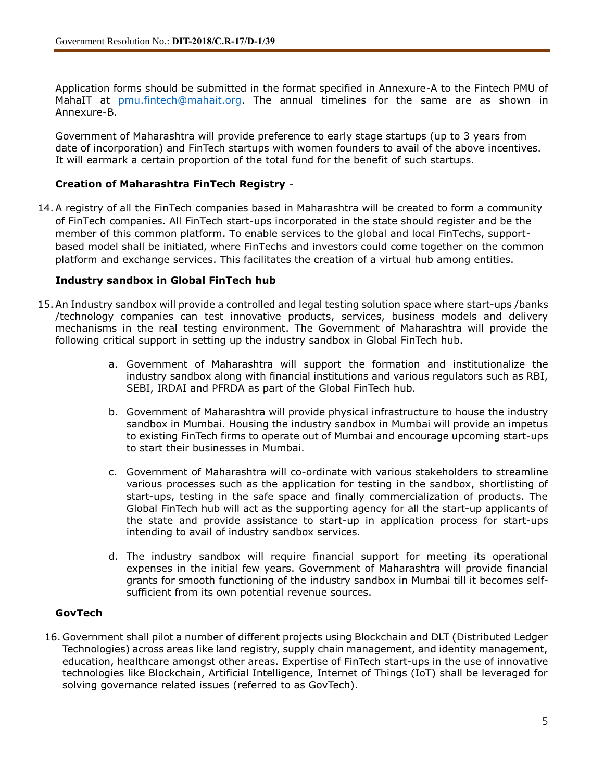Application forms should be submitted in the format specified in Annexure-A to the Fintech PMU of MahaIT at [pmu.fintech@mahait.org.](mailto:pmu.fintech@mahait.org) The annual timelines for the same are as shown in Annexure-B.

Government of Maharashtra will provide preference to early stage startups (up to 3 years from date of incorporation) and FinTech startups with women founders to avail of the above incentives. It will earmark a certain proportion of the total fund for the benefit of such startups.

## **Creation of Maharashtra FinTech Registry** -

14.A registry of all the FinTech companies based in Maharashtra will be created to form a community of FinTech companies. All FinTech start-ups incorporated in the state should register and be the member of this common platform. To enable services to the global and local FinTechs, supportbased model shall be initiated, where FinTechs and investors could come together on the common platform and exchange services. This facilitates the creation of a virtual hub among entities.

### **Industry sandbox in Global FinTech hub**

- 15.An Industry sandbox will provide a controlled and legal testing solution space where start-ups /banks /technology companies can test innovative products, services, business models and delivery mechanisms in the real testing environment. The Government of Maharashtra will provide the following critical support in setting up the industry sandbox in Global FinTech hub.
	- a. Government of Maharashtra will support the formation and institutionalize the industry sandbox along with financial institutions and various regulators such as RBI, SEBI, IRDAI and PFRDA as part of the Global FinTech hub.
	- b. Government of Maharashtra will provide physical infrastructure to house the industry sandbox in Mumbai. Housing the industry sandbox in Mumbai will provide an impetus to existing FinTech firms to operate out of Mumbai and encourage upcoming start-ups to start their businesses in Mumbai.
	- c. Government of Maharashtra will co-ordinate with various stakeholders to streamline various processes such as the application for testing in the sandbox, shortlisting of start-ups, testing in the safe space and finally commercialization of products. The Global FinTech hub will act as the supporting agency for all the start-up applicants of the state and provide assistance to start-up in application process for start-ups intending to avail of industry sandbox services.
	- d. The industry sandbox will require financial support for meeting its operational expenses in the initial few years. Government of Maharashtra will provide financial grants for smooth functioning of the industry sandbox in Mumbai till it becomes selfsufficient from its own potential revenue sources.

## **GovTech**

16. Government shall pilot a number of different projects using Blockchain and DLT (Distributed Ledger Technologies) across areas like land registry, supply chain management, and identity management, education, healthcare amongst other areas. Expertise of FinTech start-ups in the use of innovative technologies like Blockchain, Artificial Intelligence, Internet of Things (IoT) shall be leveraged for solving governance related issues (referred to as GovTech).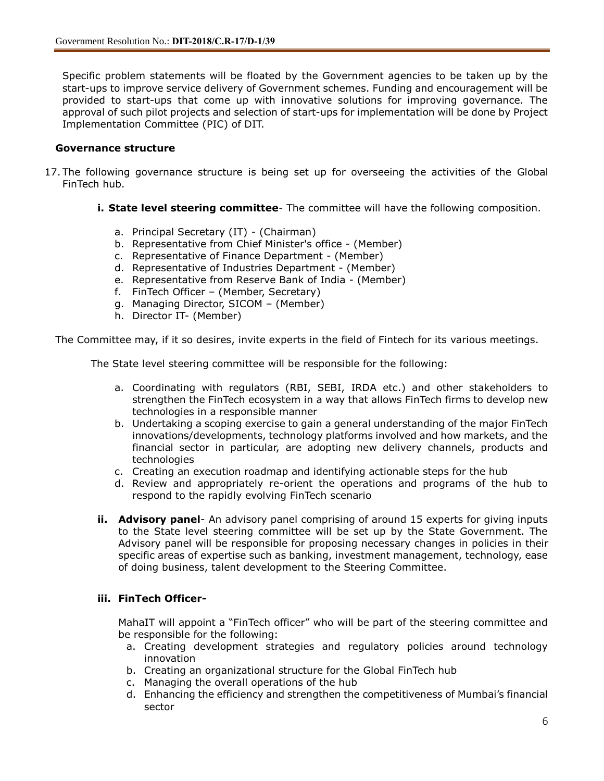Specific problem statements will be floated by the Government agencies to be taken up by the start-ups to improve service delivery of Government schemes. Funding and encouragement will be provided to start-ups that come up with innovative solutions for improving governance. The approval of such pilot projects and selection of start-ups for implementation will be done by Project Implementation Committee (PIC) of DIT.

### **Governance structure**

- 17. The following governance structure is being set up for overseeing the activities of the Global FinTech hub.
	- **i. State level steering committee** The committee will have the following composition.
		- a. Principal Secretary (IT) (Chairman)
		- b. Representative from Chief Minister's office (Member)
		- c. Representative of Finance Department (Member)
		- d. Representative of Industries Department (Member)
		- e. Representative from Reserve Bank of India (Member)
		- f. FinTech Officer (Member, Secretary)
		- g. Managing Director, SICOM (Member)
		- h. Director IT- (Member)

The Committee may, if it so desires, invite experts in the field of Fintech for its various meetings.

The State level steering committee will be responsible for the following:

- a. Coordinating with regulators (RBI, SEBI, IRDA etc.) and other stakeholders to strengthen the FinTech ecosystem in a way that allows FinTech firms to develop new technologies in a responsible manner
- b. Undertaking a scoping exercise to gain a general understanding of the major FinTech innovations/developments, technology platforms involved and how markets, and the financial sector in particular, are adopting new delivery channels, products and technologies
- c. Creating an execution roadmap and identifying actionable steps for the hub
- d. Review and appropriately re-orient the operations and programs of the hub to respond to the rapidly evolving FinTech scenario
- **ii. Advisory panel** An advisory panel comprising of around 15 experts for giving inputs to the State level steering committee will be set up by the State Government. The Advisory panel will be responsible for proposing necessary changes in policies in their specific areas of expertise such as banking, investment management, technology, ease of doing business, talent development to the Steering Committee.

## **iii. FinTech Officer-**

MahaIT will appoint a "FinTech officer" who will be part of the steering committee and be responsible for the following:

- a. Creating development strategies and regulatory policies around technology innovation
- b. Creating an organizational structure for the Global FinTech hub
- c. Managing the overall operations of the hub
- d. Enhancing the efficiency and strengthen the competitiveness of Mumbai's financial sector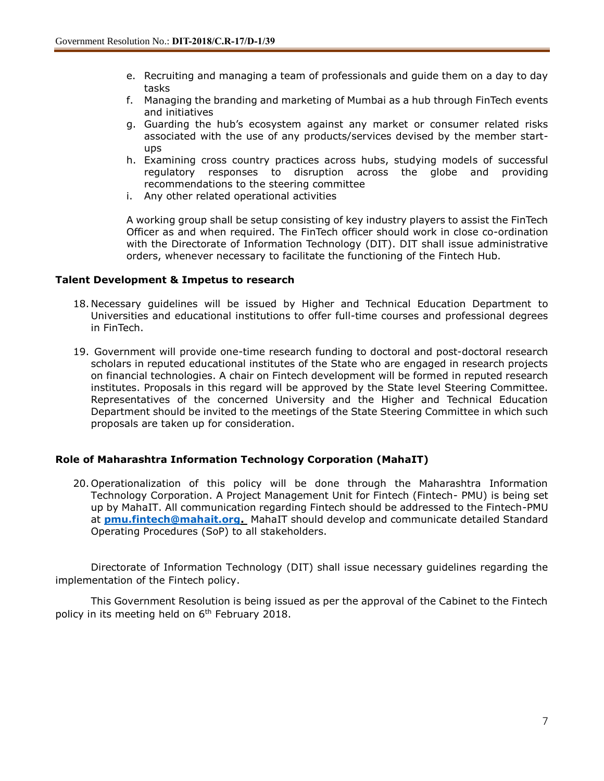- e. Recruiting and managing a team of professionals and guide them on a day to day tasks
- f. Managing the branding and marketing of Mumbai as a hub through FinTech events and initiatives
- g. Guarding the hub's ecosystem against any market or consumer related risks associated with the use of any products/services devised by the member startups
- h. Examining cross country practices across hubs, studying models of successful regulatory responses to disruption across the globe and providing recommendations to the steering committee
- i. Any other related operational activities

A working group shall be setup consisting of key industry players to assist the FinTech Officer as and when required. The FinTech officer should work in close co-ordination with the Directorate of Information Technology (DIT). DIT shall issue administrative orders, whenever necessary to facilitate the functioning of the Fintech Hub.

#### **Talent Development & Impetus to research**

- 18. Necessary guidelines will be issued by Higher and Technical Education Department to Universities and educational institutions to offer full-time courses and professional degrees in FinTech.
- 19. Government will provide one-time research funding to doctoral and post-doctoral research scholars in reputed educational institutes of the State who are engaged in research projects on financial technologies. A chair on Fintech development will be formed in reputed research institutes. Proposals in this regard will be approved by the State level Steering Committee. Representatives of the concerned University and the Higher and Technical Education Department should be invited to the meetings of the State Steering Committee in which such proposals are taken up for consideration.

### **Role of Maharashtra Information Technology Corporation (MahaIT)**

20. Operationalization of this policy will be done through the Maharashtra Information Technology Corporation. A Project Management Unit for Fintech (Fintech- PMU) is being set up by MahaIT. All communication regarding Fintech should be addressed to the Fintech-PMU at **[pmu.fintech@mahait.org.](mailto:pmu.fintech@mahait.org)** MahaIT should develop and communicate detailed Standard Operating Procedures (SoP) to all stakeholders.

Directorate of Information Technology (DIT) shall issue necessary guidelines regarding the implementation of the Fintech policy.

This Government Resolution is being issued as per the approval of the Cabinet to the Fintech policy in its meeting held on 6<sup>th</sup> February 2018.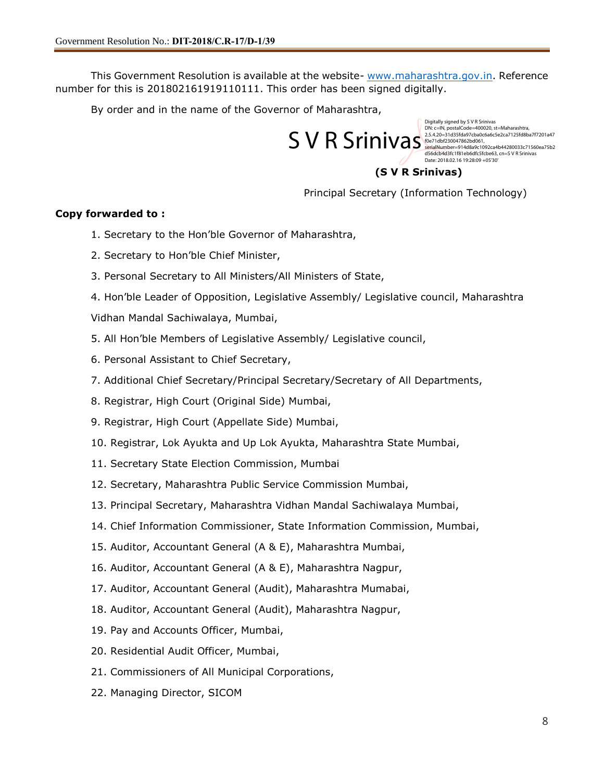This Government Resolution is available at the website- [www.maharashtra.gov.in.](http://www.maharashtra.gov.in/) Reference number for this is 201802161919110111. This order has been signed digitally.

By order and in the name of the Governor of Maharashtra,



Digitally signed by S V R Srinivas DN: c=IN, postalCode=400020, st=Maharashtra, d56dcb4d3fc1f81eb6dfc5fcbe63, cn=S V R Srinivas Date: 2018.02.16 19:28:09 +05'30'

### **(S V R Srinivas)**

Principal Secretary (Information Technology)

## **Copy forwarded to :**

- 1. Secretary to the Hon'ble Governor of Maharashtra,
- 2. Secretary to Hon'ble Chief Minister,
- 3. Personal Secretary to All Ministers/All Ministers of State,
- 4. Hon'ble Leader of Opposition, Legislative Assembly/ Legislative council, Maharashtra Vidhan Mandal Sachiwalaya, Mumbai,
- 5. All Hon'ble Members of Legislative Assembly/ Legislative council,
- 6. Personal Assistant to Chief Secretary,
- 7. Additional Chief Secretary/Principal Secretary/Secretary of All Departments,
- 8. Registrar, High Court (Original Side) Mumbai,
- 9. Registrar, High Court (Appellate Side) Mumbai,
- 10. Registrar, Lok Ayukta and Up Lok Ayukta, Maharashtra State Mumbai,
- 11. Secretary State Election Commission, Mumbai
- 12. Secretary, Maharashtra Public Service Commission Mumbai,
- 13. Principal Secretary, Maharashtra Vidhan Mandal Sachiwalaya Mumbai,
- 14. Chief Information Commissioner, State Information Commission, Mumbai,
- 15. Auditor, Accountant General (A & E), Maharashtra Mumbai,
- 16. Auditor, Accountant General (A & E), Maharashtra Nagpur,
- 17. Auditor, Accountant General (Audit), Maharashtra Mumabai,
- 18. Auditor, Accountant General (Audit), Maharashtra Nagpur,
- 19. Pay and Accounts Officer, Mumbai,
- 20. Residential Audit Officer, Mumbai,
- 21. Commissioners of All Municipal Corporations,
- 22. Managing Director, SICOM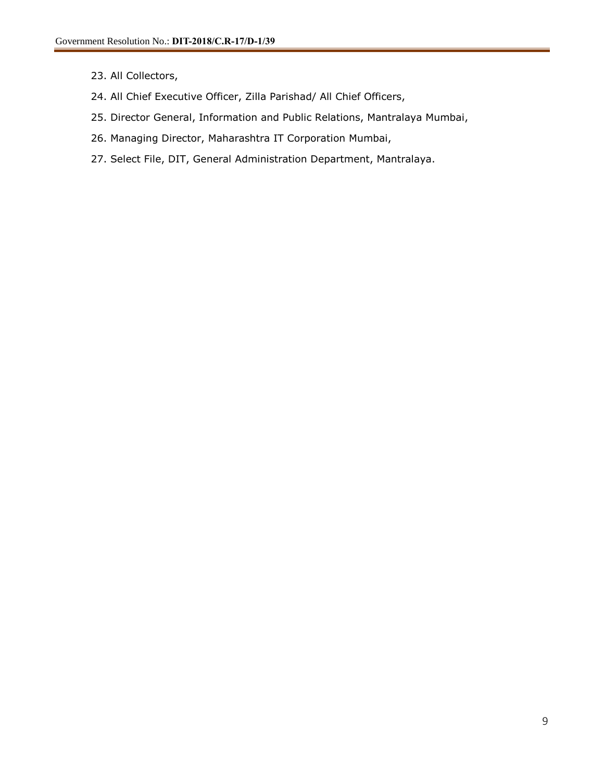- 23. All Collectors,
- 24. All Chief Executive Officer, Zilla Parishad/ All Chief Officers,
- 25. Director General, Information and Public Relations, Mantralaya Mumbai,
- 26. Managing Director, Maharashtra IT Corporation Mumbai,
- 27. Select File, DIT, General Administration Department, Mantralaya.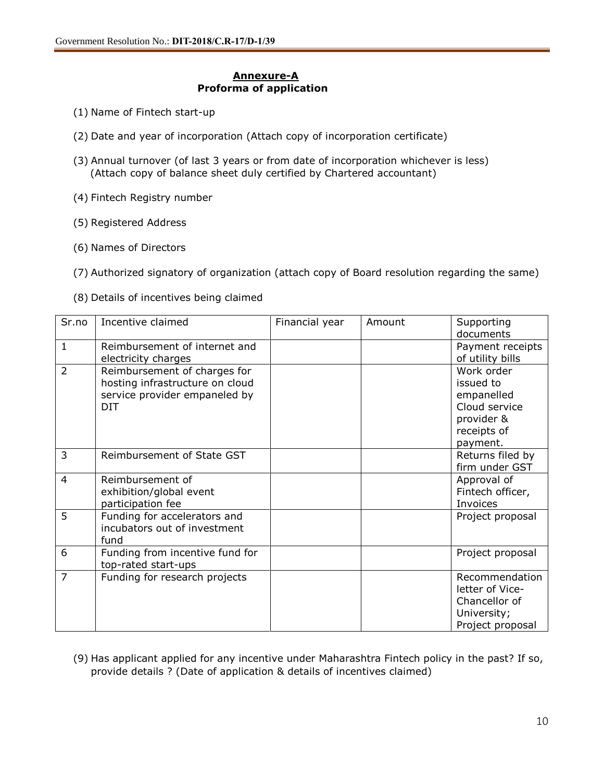### **Annexure-A Proforma of application**

- (1) Name of Fintech start-up
- (2) Date and year of incorporation (Attach copy of incorporation certificate)
- (3) Annual turnover (of last 3 years or from date of incorporation whichever is less) (Attach copy of balance sheet duly certified by Chartered accountant)
- (4) Fintech Registry number
- (5) Registered Address
- (6) Names of Directors
- (7) Authorized signatory of organization (attach copy of Board resolution regarding the same)
- (8) Details of incentives being claimed

| Sr.no          | Incentive claimed                                                                                                                                                                                               | Financial year | Amount | Supporting                                                                                                                                                         |
|----------------|-----------------------------------------------------------------------------------------------------------------------------------------------------------------------------------------------------------------|----------------|--------|--------------------------------------------------------------------------------------------------------------------------------------------------------------------|
|                |                                                                                                                                                                                                                 |                |        | documents                                                                                                                                                          |
| 1              | Reimbursement of internet and                                                                                                                                                                                   |                |        | Payment receipts                                                                                                                                                   |
|                | electricity charges                                                                                                                                                                                             |                |        | of utility bills                                                                                                                                                   |
| $\overline{2}$ | Reimbursement of charges for                                                                                                                                                                                    |                |        | Work order                                                                                                                                                         |
|                | hosting infrastructure on cloud                                                                                                                                                                                 |                |        | issued to                                                                                                                                                          |
|                | service provider empaneled by                                                                                                                                                                                   |                |        | empanelled                                                                                                                                                         |
|                | <b>DIT</b>                                                                                                                                                                                                      |                |        | Cloud service                                                                                                                                                      |
|                |                                                                                                                                                                                                                 |                |        | provider &                                                                                                                                                         |
|                |                                                                                                                                                                                                                 |                |        | receipts of                                                                                                                                                        |
|                |                                                                                                                                                                                                                 |                |        | payment.                                                                                                                                                           |
| 3              | Reimbursement of State GST                                                                                                                                                                                      |                |        |                                                                                                                                                                    |
|                |                                                                                                                                                                                                                 |                |        | firm under GST                                                                                                                                                     |
| 4              | Reimbursement of                                                                                                                                                                                                |                |        |                                                                                                                                                                    |
|                |                                                                                                                                                                                                                 |                |        |                                                                                                                                                                    |
|                |                                                                                                                                                                                                                 |                |        | Invoices                                                                                                                                                           |
| 5              |                                                                                                                                                                                                                 |                |        |                                                                                                                                                                    |
|                |                                                                                                                                                                                                                 |                |        |                                                                                                                                                                    |
|                |                                                                                                                                                                                                                 |                |        |                                                                                                                                                                    |
| 6              |                                                                                                                                                                                                                 |                |        |                                                                                                                                                                    |
|                |                                                                                                                                                                                                                 |                |        |                                                                                                                                                                    |
| $\overline{7}$ |                                                                                                                                                                                                                 |                |        | Recommendation                                                                                                                                                     |
|                |                                                                                                                                                                                                                 |                |        |                                                                                                                                                                    |
|                |                                                                                                                                                                                                                 |                |        |                                                                                                                                                                    |
|                |                                                                                                                                                                                                                 |                |        |                                                                                                                                                                    |
|                |                                                                                                                                                                                                                 |                |        |                                                                                                                                                                    |
|                | exhibition/global event<br>participation fee<br>Funding for accelerators and<br>incubators out of investment<br>fund<br>Funding from incentive fund for<br>top-rated start-ups<br>Funding for research projects |                |        | Returns filed by<br>Approval of<br>Fintech officer,<br>Project proposal<br>Project proposal<br>letter of Vice-<br>Chancellor of<br>University;<br>Project proposal |

(9) Has applicant applied for any incentive under Maharashtra Fintech policy in the past? If so, provide details ? (Date of application & details of incentives claimed)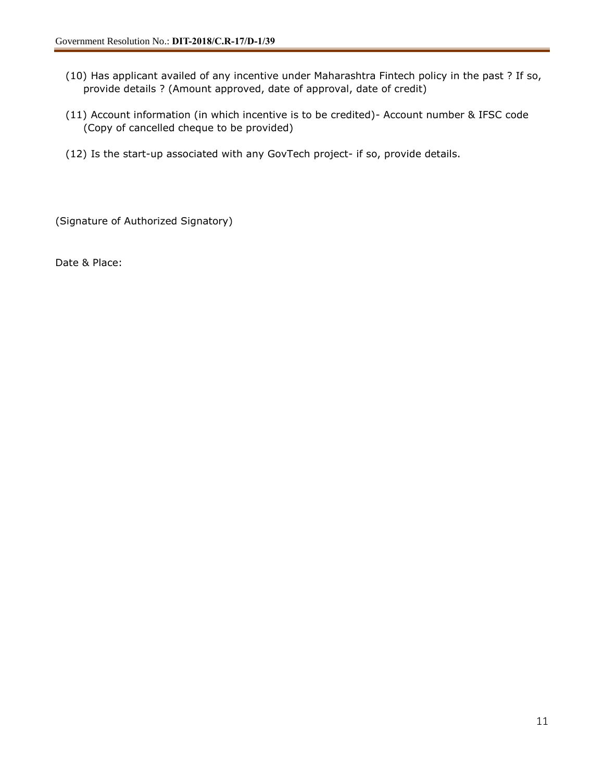- (10) Has applicant availed of any incentive under Maharashtra Fintech policy in the past ? If so, provide details ? (Amount approved, date of approval, date of credit)
- (11) Account information (in which incentive is to be credited)- Account number & IFSC code (Copy of cancelled cheque to be provided)
- (12) Is the start-up associated with any GovTech project- if so, provide details.

(Signature of Authorized Signatory)

Date & Place: